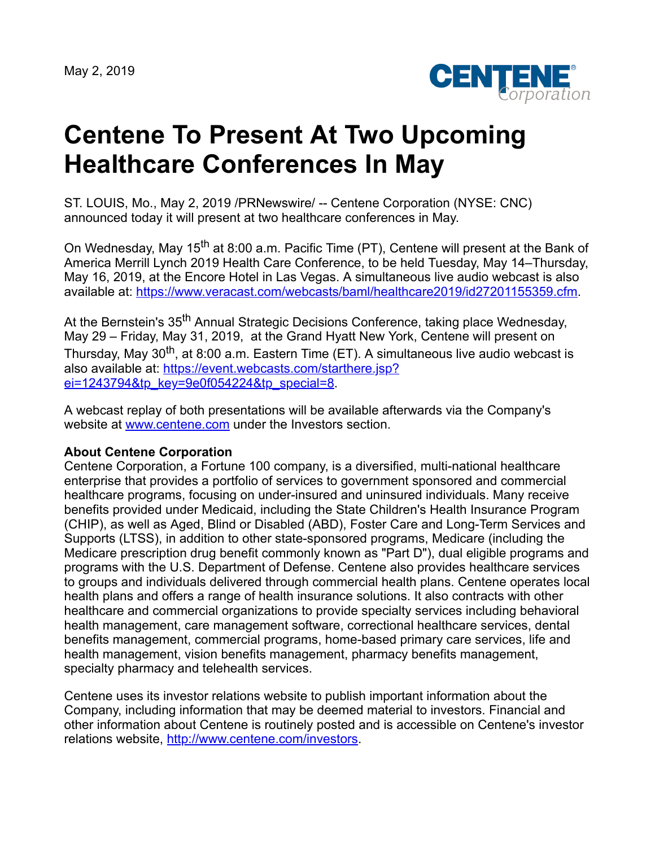May 2, 2019



## **Centene To Present At Two Upcoming Healthcare Conferences In May**

ST. LOUIS, Mo., May 2, 2019 /PRNewswire/ -- Centene Corporation (NYSE: CNC) announced today it will present at two healthcare conferences in May.

On Wednesday, May 15<sup>th</sup> at 8:00 a.m. Pacific Time (PT), Centene will present at the Bank of America Merrill Lynch 2019 Health Care Conference, to be held Tuesday, May 14–Thursday, May 16, 2019, at the Encore Hotel in Las Vegas. A simultaneous live audio webcast is also available at: <https://www.veracast.com/webcasts/baml/healthcare2019/id27201155359.cfm>.

At the Bernstein's 35<sup>th</sup> Annual Strategic Decisions Conference, taking place Wednesday, May 29 – Friday, May 31, 2019, at the Grand Hyatt New York, Centene will present on Thursday, May 30<sup>th</sup>, at 8:00 a.m. Eastern Time (ET). A simultaneous live audio webcast is [also available at: https://event.webcasts.com/starthere.jsp?](https://event.webcasts.com/starthere.jsp?ei=1243794&tp_key=9e0f054224&tp_special=8) ei=1243794&tp\_key=9e0f054224&tp\_special=8.

A webcast replay of both presentations will be available afterwards via the Company's website at [www.centene.com](http://www.centene.com/) under the Investors section.

## **About Centene Corporation**

Centene Corporation, a Fortune 100 company, is a diversified, multi-national healthcare enterprise that provides a portfolio of services to government sponsored and commercial healthcare programs, focusing on under-insured and uninsured individuals. Many receive benefits provided under Medicaid, including the State Children's Health Insurance Program (CHIP), as well as Aged, Blind or Disabled (ABD), Foster Care and Long-Term Services and Supports (LTSS), in addition to other state-sponsored programs, Medicare (including the Medicare prescription drug benefit commonly known as "Part D"), dual eligible programs and programs with the U.S. Department of Defense. Centene also provides healthcare services to groups and individuals delivered through commercial health plans. Centene operates local health plans and offers a range of health insurance solutions. It also contracts with other healthcare and commercial organizations to provide specialty services including behavioral health management, care management software, correctional healthcare services, dental benefits management, commercial programs, home-based primary care services, life and health management, vision benefits management, pharmacy benefits management, specialty pharmacy and telehealth services.

Centene uses its investor relations website to publish important information about the Company, including information that may be deemed material to investors. Financial and other information about Centene is routinely posted and is accessible on Centene's investor relations website, <http://www.centene.com/investors>.